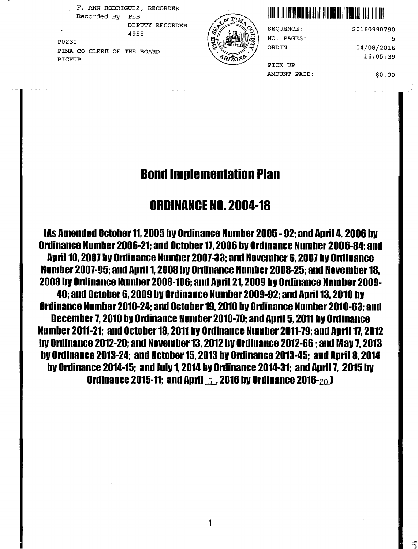F. ANN RODRIGUEZ, RECORDER DEPUTY RECORDER

 $\sim$ P0230 PIMA CO CLERK OF THE BOARD  $\left(\frac{1}{2}\right)$  ORD IN PICKUP



## Recorded By: PEB I llllll lllll lllll lllll lllll lllll lllll lllll lllll lllll 111111111111111111

NO. PAGES:

20160990790 5 04/08/2016 16:05:39

PICK UP AMOUNT PAID:

\$0.00

 $\vert$ 

# Bond Implementation Plan

# ORDINANCE NO. 2004-18

lAs Amended October 11, 2005 bV Ordinance Number 2005 -92; and April 4, 2006 bV Ordinance Number 2006-21; and October 11, 2006 bV Ordinance Number 2006-84; and April 10, 2007 bV Ordinance Number 2007-33; and November 6, 2007 bV Ordinance Number 2007-95; and April 1, 2008 bV Ordinance Number 2008-25; and November 18, 2008 bV Ordinance Number 2008-106; and April 21, 2009 bV Ordinance Number 2009- 40; and October 6, 2009 bV Ordinance Number 2009-92; and April 13, 2010 bV Ordinance Number 2010-24; and October 19, 2010 bV Ordinance Number 2010-63; and December 7, 2010 bV Ordinance Number 2010-70; and April 5, 2011 bV Ordinance Number 2011-21; and October 18, 2011 bV Ordinance Number 2011-79; and April 17, 2012 bV Ordinance 2012-20; and November 13, 2012 bV Ordinance 2012-66 ; and Mav 7, 2013 bV Ordinance 2013-24; and October 15, 2013 bV Ordinance 2013-45; and April 8, 2014 by Ordinance 2014-15; and July 1, 2014 by Ordinance 2014-31; and April 7, 2015 by Ordinance 2015-11; and April  $\,$  5  $\,$  . 2016 by Ordinance 2016- $\,$ 20 J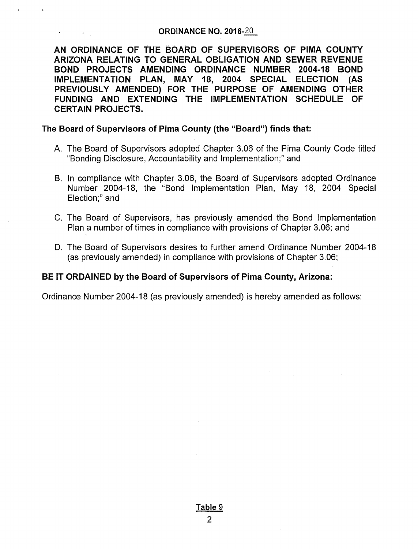#### ORDINANCE NO. 2016-20

AN ORDINANCE OF THE BOARD OF SUPERVISORS OF PIMA COUNTY ARIZONA RELATING TO GENERAL OBLIGATION AND SEWER REVENUE BOND PROJECTS AMENDING ORDINANCE NUMBER 2004-18 BOND IMPLEMENTATION PLAN, MAY 18, 2004 SPECIAL ELECTION (AS PREVIOUSLY AMENDED) FOR THE PURPOSE OF AMENDING OTHER FUNDING AND EXTENDING THE IMPLEMENTATION SCHEDULE OF CERTAIN PROJECTS.

### The Board of Supervisors of Pima County (the "Board") finds that:

- A. The Board of Supervisors adopted Chapter 3.06 of the Pima County Code titled "Bonding Disclosure, Accountability and Implementation;" and
- B. In compliance with Chapter 3.06, the Board of Supervisors adopted Ordinance Number 2004-18, the "Bond Implementation Plan, May 18, 2004 Special Election;" and
- C. The Board of Supervisors, has previously amended the Bond Implementation Plan a number of times in compliance with provisions of Chapter 3.06; and
- D. The Board of Supervisors desires to further amend Ordinance Number 2004-18 (as previously amended) in compliance with provisions of Chapter 3.06;

### BE IT ORDAINED by the Board of Supervisors of Pima County, Arizona:

Ordinance Number 2004-18 (as previously amended) is hereby amended as follows: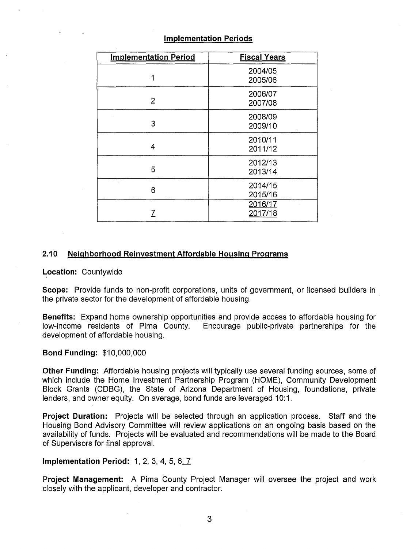| <b>Implementation Period</b> | <b>Fiscal Years</b> |
|------------------------------|---------------------|
| 1                            | 2004/05<br>2005/06  |
| 2                            | 2006/07<br>2007/08  |
| 3                            | 2008/09<br>2009/10  |
| 4                            | 2010/11<br>2011/12  |
| 5                            | 2012/13<br>2013/14  |
| 6                            | 2014/15<br>2015/16  |
|                              | 2016/17<br>2017/18  |

### **Implementation Periods**

#### **2.10 Neighborhood Reinvestment Affordable Housing Programs**

**Location:** Countywide

**Scope:** Provide funds to non-profit corporations, units of government, or licensed builders in the private sector for the development of affordable housing.

**Benefits:** Expand home ownership opportunities and provide access to affordable housing for low-income residents of Pima County. Encourage public-private partnerships for the Encourage public-private partnerships for the development of affordable housing.

#### **Bond Funding:** \$10,000,000

**Other Funding:** Affordable housing projects will typically use several funding sources, some of which include the Home Investment Partnership Program (HOME), Community Development Block Grants (CDBG), the State of Arizona Department of Housing, foundations, private lenders, and owner equity. On average, bond funds are leveraged 10:1.

**Project Duration:** Projects will be selected through an application process. Staff and the Housing Bond Advisory Committee will review applications on an ongoing basis based on the availability of funds. Projects will be evaluated and recommendations will be made to the Board of Supervisors for final approval.

#### **Implementation Period: 1, 2, 3, 4, 5, 6, 7**

**Project Management:** A Pima County Project Manager will oversee the project and work closely with the applicant, developer and contractor.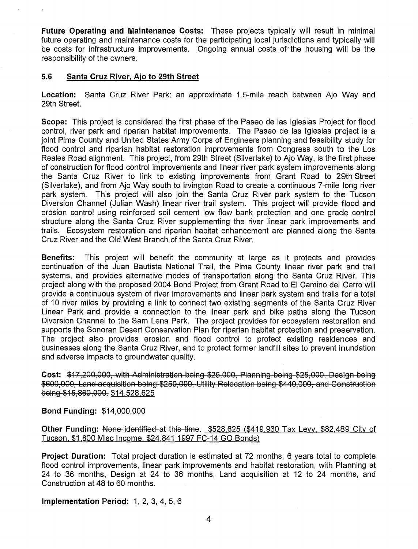**Future Operating and Maintenance Costs:** These projects typically will result in minimal future operating and maintenance costs for the participating local jurisdictions and typically will be costs for infrastructure improvements. Ongoing annual costs of the housing will be the responsibility of the owners.

#### **5.6 Santa Cruz River, Aio to 29th Street**

**Location:** Santa Cruz River Park: an approximate 1.5-mile reach between Aja Way and 29th Street.

**Scope:** This project is considered the first phase of the Paseo de las Iglesias Project for flood control, river park and riparian habitat improvements. The Paseo de las Iglesias project is a joint Pima County and United States Army Corps of Engineers planning and feasibility study for flood control and riparian habitat restoration improvements from Congress south to the Los Reales Road alignment. This project, from 29th Street (Silverlake) to Aja Way, is the first phase of construction for flood control improvements and linear river park system improvements along the Santa Cruz River to link to existing improvements from Grant Road to 29th Street (Silverlake), and from Aja Way south to Irvington Road to create a continuous ?-mile long river park system. This project will also join the Santa Cruz River park system to the Tucson Diversion Channel (Julian Wash) linear river trail system. This project will provide flood and erosion control using reinforced soil cement low flow bank protection and one grade control structure along the Santa Cruz River supplementing the river linear park improvements and trails. Ecosystem restoration and riparian habitat enhancement are planned along the Santa Cruz River and the Old West Branch of the Santa Cruz River.

**Benefits:** This project will benefit the community at large as it protects and provides continuation of the Juan Bautista National Trail, the Pima County linear river park and trail systems, and provides alternative modes of transportation along the Santa Cruz River. This project along with the proposed 2004 Bond Project from Grant Road to El Camino del Cerro will provide a continuous system of river improvements and linear park system and trails for a total of 10 river miles by providing a link to connect two existing segments of the Santa Cruz River Linear Park and provide a connection to the linear park and bike paths along the Tucson Diversion Channel to the Sam Lena Park. The project provides for ecosystem restoration and supports the Sonoran Desert Conservation Plan for riparian habitat protection and preservation. The project also provides erosion and flood control to protect existing residences and businesses along the Santa Cruz River, and to protect former landfill sites to prevent inundation and adverse impacts to groundwater quality.

Cost: \$17,200,000, with Administration being \$25,000, Planning being \$25,000, Design being \$600,000, Land acquisition being \$250,000, Utility Relocation being \$440,000, and Construction being \$15,860,000. \$14,528,625

**Bond Funding:** \$14,000,000

**Other Funding:** None identified at this time. \$528,625 (\$419,930 Tax Levy, \$82,489 City of Tucson, \$1,800 Misc Income, \$24,841 1997 FC-14 GO Bonds}

**Project Duration:** Total project duration is estimated at 72 months, 6 years total to complete flood control improvements, linear park improvements and habitat restoration, with Planning at 24 to 36 months, Design at 24 to 36 months, Land acquisition at 12 to 24 months, and Construction at 48 to 60 months.

**Implementation Period:** 1, 2, 3, 4, 5, 6